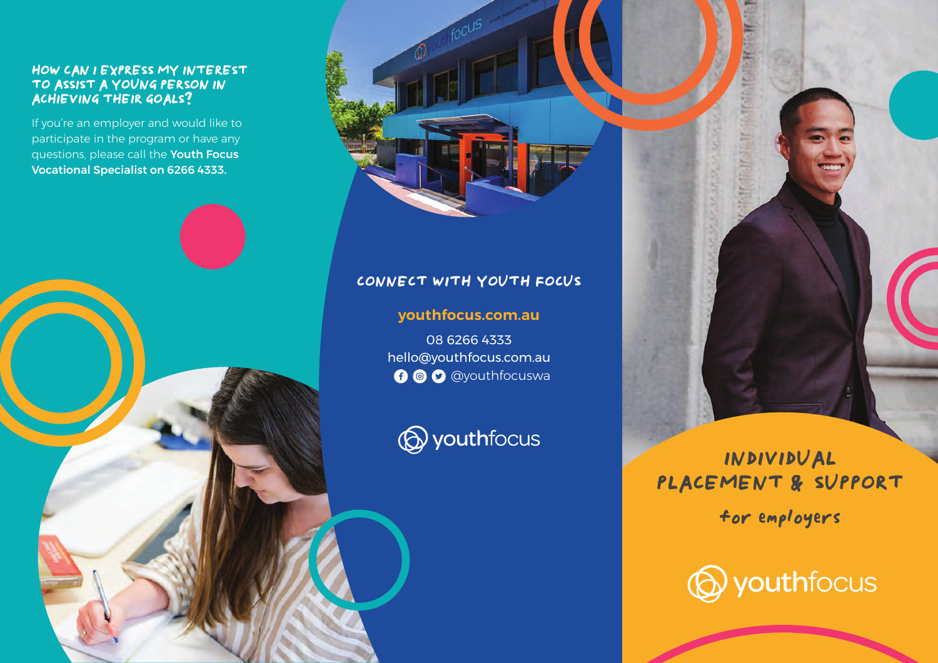#### HOW CAN I EXPRESS MY INTEREST  $N$  $\mathcal{L}_{\mathcal{A}}$  and state  $\mathcal{A}$  to see how the  $\mathcal{L}_{\mathcal{A}}$  to see how the see how and TO ASSIST A YOUNG PERSON IN ACHIEVING THEIR GOALS?

If you're an employer and would like to questions, please call the **Youth Focus** is en Vocational Specialist on 6266 4333. Internal participate in the program or have any





# **CONNECT WITH YOUTH FOCUS**

**youthfocus.com.au**

08 6266 4333 hello@youthfocus.com.au **O** @ @youthfocuswa



**INDIVIDUAL PLACEMENT** &**SUPPORT for employers**